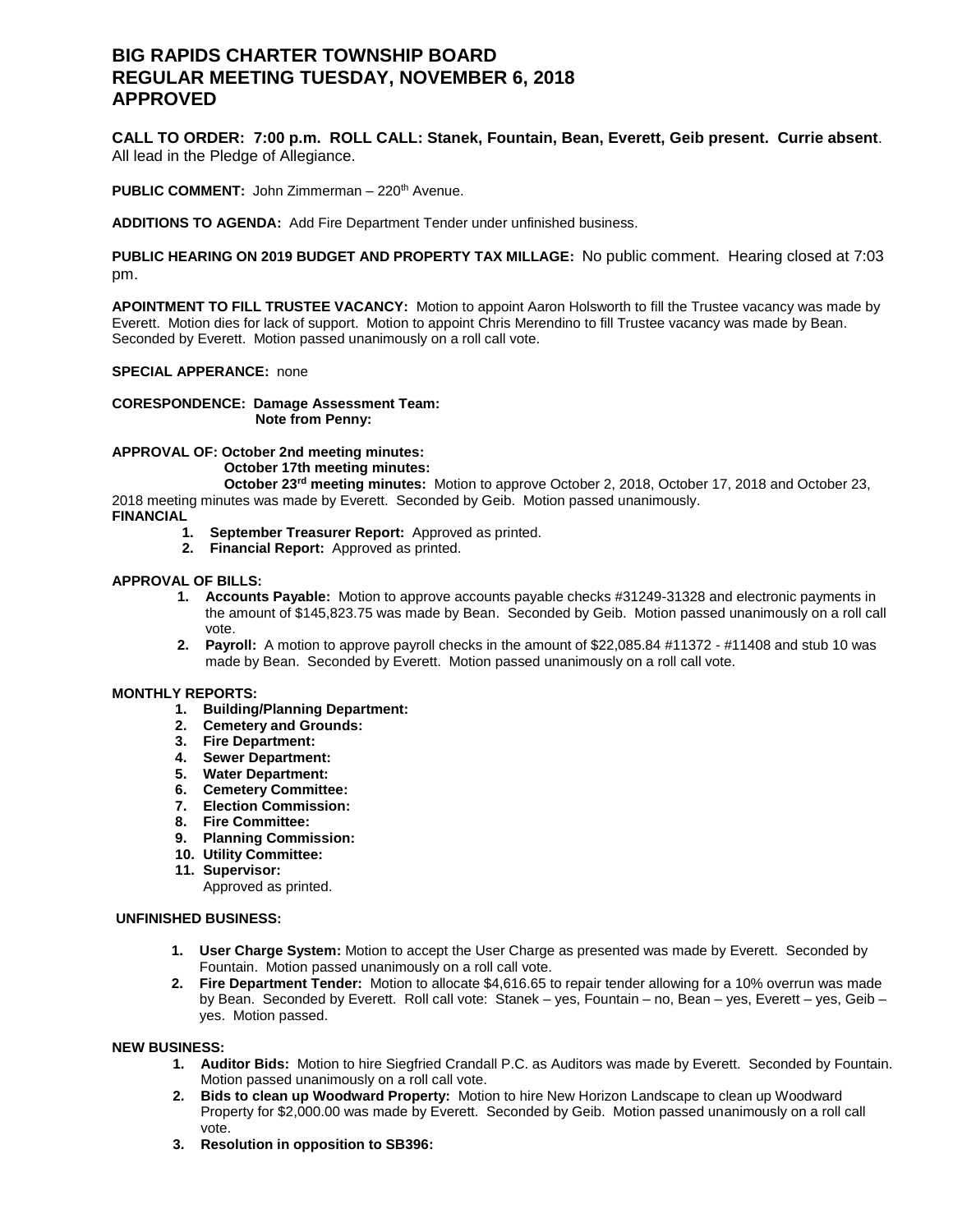# **BIG RAPIDS CHARTER TOWNSHIP BOARD REGULAR MEETING TUESDAY, NOVEMBER 6, 2018 APPROVED**

**CALL TO ORDER: 7:00 p.m. ROLL CALL: Stanek, Fountain, Bean, Everett, Geib present. Currie absent**. All lead in the Pledge of Allegiance.

**PUBLIC COMMENT:** John Zimmerman – 220<sup>th</sup> Avenue.

**ADDITIONS TO AGENDA:** Add Fire Department Tender under unfinished business.

**PUBLIC HEARING ON 2019 BUDGET AND PROPERTY TAX MILLAGE:** No public comment. Hearing closed at 7:03 pm.

**APOINTMENT TO FILL TRUSTEE VACANCY:** Motion to appoint Aaron Holsworth to fill the Trustee vacancy was made by Everett. Motion dies for lack of support. Motion to appoint Chris Merendino to fill Trustee vacancy was made by Bean. Seconded by Everett. Motion passed unanimously on a roll call vote.

#### **SPECIAL APPERANCE:** none

**CORESPONDENCE: Damage Assessment Team: Note from Penny:** 

# **APPROVAL OF: October 2nd meeting minutes:**

**October 17th meeting minutes:** 

**October 23rd meeting minutes:** Motion to approve October 2, 2018, October 17, 2018 and October 23, 2018 meeting minutes was made by Everett. Seconded by Geib. Motion passed unanimously.

- **FINANCIAL**
	- **1. September Treasurer Report:** Approved as printed.
	- **2. Financial Report:** Approved as printed.

### **APPROVAL OF BILLS:**

- **1. Accounts Payable:** Motion to approve accounts payable checks #31249-31328 and electronic payments in the amount of \$145,823.75 was made by Bean. Seconded by Geib. Motion passed unanimously on a roll call vote.
- **2. Payroll:** A motion to approve payroll checks in the amount of \$22,085.84 #11372 #11408 and stub 10 was made by Bean. Seconded by Everett. Motion passed unanimously on a roll call vote.

#### **MONTHLY REPORTS:**

- **1. Building/Planning Department:**
- **2. Cemetery and Grounds:**
- **3. Fire Department:**
- **4. Sewer Department:**
- **5. Water Department:**
- **6. Cemetery Committee:**
- **7. Election Commission:**
- **8. Fire Committee:**
- **9. Planning Commission:**
- **10. Utility Committee:**
- **11. Supervisor:**

Approved as printed.

# **UNFINISHED BUSINESS:**

- **1. User Charge System:** Motion to accept the User Charge as presented was made by Everett. Seconded by Fountain. Motion passed unanimously on a roll call vote.
- **2. Fire Department Tender:** Motion to allocate \$4,616.65 to repair tender allowing for a 10% overrun was made by Bean. Seconded by Everett. Roll call vote: Stanek – yes, Fountain – no, Bean – yes, Everett – yes, Geib – yes. Motion passed.

#### **NEW BUSINESS:**

- **1. Auditor Bids:** Motion to hire Siegfried Crandall P.C. as Auditors was made by Everett. Seconded by Fountain. Motion passed unanimously on a roll call vote.
- **2. Bids to clean up Woodward Property:** Motion to hire New Horizon Landscape to clean up Woodward Property for \$2,000.00 was made by Everett. Seconded by Geib. Motion passed unanimously on a roll call vote.
- **3. Resolution in opposition to SB396:**